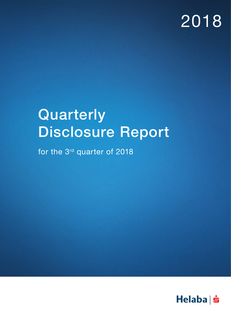# 2018

# **Quarterly** Disclosure Report

for the 3<sup>rd</sup> quarter of 2018

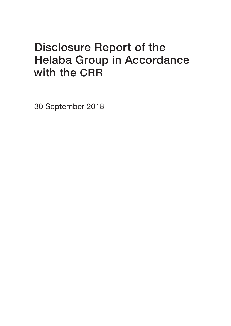### Disclosure Report of the Helaba Group in Accordance with the CRR

30 September 2018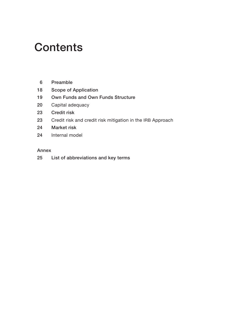### **Contents**

- [6 P](#page-5-0)reamble
- [18 S](#page-17-0)cope of Application
- [19 O](#page-18-0)wn Funds and Own Funds Structure
- [20](#page-19-0) Capital adequacy
- [23 Credit risk](#page-22-0)
- 23 [C](#page-22-0)redit risk and credit risk mitigation in the IRB Approach
- [24 Market risk](#page-23-0)
- 24 [I](#page-23-0)nternal model

#### Annex

[25 L](#page-24-0)ist of abbreviations and key terms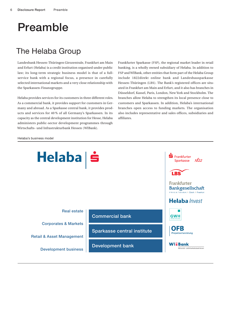### <span id="page-5-0"></span>Preamble

### The Helaba Group

Landesbank Hessen-Thüringen Girozentrale, Frankfurt am Main and Erfurt (Helaba) is a credit institution organised under public law; its long-term strategic business model is that of a fullservice bank with a regional focus, a presence in carefully selected international markets and a very close relationship with the Sparkassen-Finanzgruppe.

Helaba provides services for its customers in three different roles. As a commercial bank, it provides support for customers in Germany and abroad. As a Sparkasse central bank, it provides products and services for 40 % of all Germany's Sparkassen. In its capacity as the central development institution for Hesse, Helaba administers public-sector development programmes through Wirtschafts- und Infrastrukturbank Hessen (WIBank).

Frankfurter Sparkasse (FSP), the regional market leader in retail banking, is a wholly owned subsidiary of Helaba. In addition to FSP and WIBank, other entities that form part of the Helaba Group include 1822direkt online bank and Landesbausparkasse Hessen-Thüringen (LBS). The Bank's registered offices are situated in Frankfurt am Main and Erfurt, and it also has branches in Düsseldorf, Kassel, Paris, London, New York and Stockholm. The branches allow Helaba to strengthen its local presence close to customers and Sparkassen. In addition, Helaba's international branches open access to funding markets. The organisation also includes representative and sales offices, subsidiaries and affiliates.

Helaba's business model

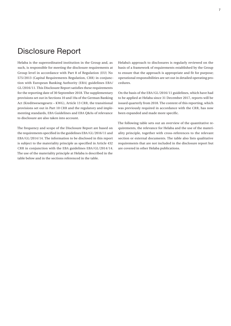### Disclosure Report

Helaba is the superordinated institution in the Group and, as such, is responsible for meeting the disclosure requirements at Group level in accordance with Part 8 of Regulation (EU) No 575/2013 (Capital Requirements Regulation, CRR) in conjunction with European Banking Authority (EBA) guidelines EBA/ GL/2016/11. This Disclosure Report satisfies these requirements for the reporting date of 30 September 2018. The supplementary provisions set out in Sections 10 and 10a of the German Banking Act (Kreditwesengesetz – KWG), Article 13 CRR, the transitional provisions set out in Part 10 CRR and the regulatory and implementing standards, EBA Guidelines and EBA Q&As of relevance to disclosure are also taken into account.

The frequency and scope of the Disclosure Report are based on the requirements specified in the guidelines EBA/GL/2016/11 and EBA/GL/2014/14. The information to be disclosed in this report is subject to the materiality principle as specified in Article 432 CRR in conjunction with the EBA guidelines EBA/GL/2014/14. The use of the materiality principle at Helaba is described in the table below and in the sections referenced in the table.

Helaba's approach to disclosures is regularly reviewed on the basis of a framework of requirements established by the Group to ensure that the approach is appropriate and fit for purpose; operational responsibilities are set out in detailed operating procedures.

On the basis of the EBA/GL/2016/11 guidelines, which have had to be applied at Helaba since 31 December 2017, reports will be issued quarterly from 2018. The content of this reporting, which was previously required in accordance with the CRR, has now been expanded and made more specific.

The following table sets out an overview of the quantitative requirements, the relevance for Helaba and the use of the materiality principle, together with cross-references to the relevant section or external documents. The table also lists qualitative requirements that are not included in the disclosure report but are covered in other Helaba publications.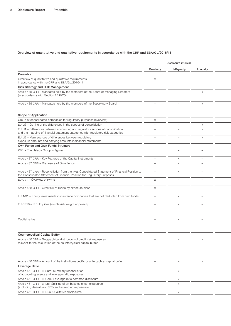|                                                                                                                                                                            | Disclosure interval      |                          |                                 |  |
|----------------------------------------------------------------------------------------------------------------------------------------------------------------------------|--------------------------|--------------------------|---------------------------------|--|
|                                                                                                                                                                            | Quarterly                | Half-yearly              | Annually                        |  |
| Preamble                                                                                                                                                                   |                          |                          |                                 |  |
| Overview of quantitative and qualitative requirements<br>in accordance with the CRR and EBA/GL/2016/11                                                                     | $\times$                 |                          |                                 |  |
| Risk Strategy and Risk Management                                                                                                                                          |                          |                          |                                 |  |
| Article 435 CRR - Mandates held by the members of the Board of Managing Directors<br>(in accordance with Section 24 KWG)                                                   |                          |                          | $\mathsf{x}$                    |  |
| Article 435 CRR - Mandates held by the members of the Supervisory Board                                                                                                    |                          |                          | $\times$                        |  |
| Scope of Application                                                                                                                                                       |                          |                          |                                 |  |
| Group of consolidated companies for regulatory purposes (overview)                                                                                                         | $\times$                 | $\overline{\phantom{a}}$ |                                 |  |
| EU LI3 - Outline of the differences in the scopes of consolidation                                                                                                         | $\overline{\phantom{a}}$ | $\overline{\phantom{m}}$ | $\times$                        |  |
| EU LI1 - Differences between accounting and regulatory scopes of consolidation<br>and the mapping of financial statement categories with regulatory risk categories        |                          |                          | $\times$                        |  |
| EU LI2 - Main sources of differences between regulatory<br>exposure amounts and carrying amounts in financial statements                                                   |                          |                          | $\times$                        |  |
| Own Funds and Own Funds Structure                                                                                                                                          |                          |                          |                                 |  |
| KM1 - The Helaba Group in figures                                                                                                                                          | $\times$                 | $\overline{\phantom{0}}$ | $\overline{\phantom{a}}$        |  |
| Article 437 CRR - Key Features of the Capital Instruments                                                                                                                  | $\overline{\phantom{a}}$ | X                        | $\hspace{0.1mm}-\hspace{0.1mm}$ |  |
| Article 437 CRR - Disclosure of Own Funds                                                                                                                                  |                          |                          |                                 |  |
| Article 437 CRR - Reconciliation from the IFRS Consolidated Statement of Financial Position to<br>the Consolidated Statement of Financial Position for Regulatory Purposes |                          | X                        |                                 |  |
| EU OV1 - Overview of RWAs                                                                                                                                                  | $\times$                 |                          |                                 |  |
| Article 438 CRR - Overview of RWAs by exposure class                                                                                                                       | $\times$                 | $\overline{\phantom{0}}$ |                                 |  |
| EU INS1 - Equity investments in insurance companies that are not deducted from own funds                                                                                   | $\overline{\phantom{0}}$ | $\times$                 |                                 |  |
| EU CR10 - IRB: Equities (simple risk weight approach)                                                                                                                      |                          | $\times$                 |                                 |  |
| Capital ratios                                                                                                                                                             |                          | $\times$                 |                                 |  |
| <b>Countercyclical Capital Buffer</b>                                                                                                                                      |                          |                          |                                 |  |
| Article 440 CRR - Geographical distribution of credit risk exposures<br>relevant to the calculation of the countercyclical capital buffer                                  |                          |                          | $\times$                        |  |
| Article 440 CRR - Amount of the institution-specific countercyclical capital buffer                                                                                        | $\equiv$ .               | $\overline{\phantom{a}}$ | $\mathsf{X}$                    |  |
|                                                                                                                                                                            |                          |                          |                                 |  |
| Leverage Ratio<br>Article 451 CRR - LRSum: Summary reconciliation<br>of accounting assets and leverage ratio exposures                                                     |                          | $\times$                 |                                 |  |
| Article 451 CRR - LRCom: Leverage ratio common disclosure                                                                                                                  | $\overline{\phantom{0}}$ | $\times$                 |                                 |  |
| Article 451 CRR - LRSpl: Split-up of on-balance sheet exposures                                                                                                            |                          | $\times$                 | $\overline{\phantom{a}}$        |  |
|                                                                                                                                                                            |                          |                          |                                 |  |

(excluding derivatives, SFTs and exempted exposures) Article 451 CRR – LRQua: Qualitative disclosures – and the section of the section of the section of the section of the section of the section of the section of the section of the section of the section of the section of th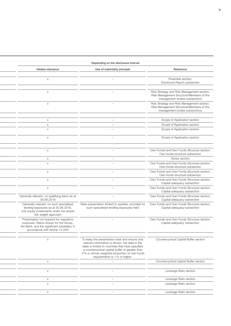| Depending on the disclosure interval                                                                                                                               |                                                                                                                                                                                                                                                                                             |                                                                                                                         |  |  |
|--------------------------------------------------------------------------------------------------------------------------------------------------------------------|---------------------------------------------------------------------------------------------------------------------------------------------------------------------------------------------------------------------------------------------------------------------------------------------|-------------------------------------------------------------------------------------------------------------------------|--|--|
| Helaba relevance                                                                                                                                                   | Use of materiality principle                                                                                                                                                                                                                                                                | Reference                                                                                                               |  |  |
| $\times$                                                                                                                                                           | $\overline{\phantom{a}}$                                                                                                                                                                                                                                                                    | Preamble section,<br>Disclosure Report subsection                                                                       |  |  |
| $\times$                                                                                                                                                           |                                                                                                                                                                                                                                                                                             | Risk Strategy and Risk Management section,<br>Risk Management Structure/Members of the<br>management bodies subsections |  |  |
| $\times$                                                                                                                                                           |                                                                                                                                                                                                                                                                                             | Risk Strategy and Risk Management section,<br>Risk Management Structure/Members of the<br>management bodies subsections |  |  |
|                                                                                                                                                                    |                                                                                                                                                                                                                                                                                             |                                                                                                                         |  |  |
| $\times$                                                                                                                                                           | $\overline{\phantom{0}}$                                                                                                                                                                                                                                                                    | Scope of Application section                                                                                            |  |  |
| $\times$                                                                                                                                                           |                                                                                                                                                                                                                                                                                             | Scope of Application section                                                                                            |  |  |
| $\times$                                                                                                                                                           |                                                                                                                                                                                                                                                                                             | Scope of Application section                                                                                            |  |  |
| $\times$                                                                                                                                                           |                                                                                                                                                                                                                                                                                             | Scope of Application section                                                                                            |  |  |
| $\times$                                                                                                                                                           |                                                                                                                                                                                                                                                                                             | Own Funds and Own Funds Structure section,<br>Own funds structure subsection                                            |  |  |
| $\times$                                                                                                                                                           |                                                                                                                                                                                                                                                                                             | Annex section                                                                                                           |  |  |
| $\times$                                                                                                                                                           |                                                                                                                                                                                                                                                                                             | Own Funds and Own Funds Structure section,<br>Own funds structure subsection                                            |  |  |
| $\times$                                                                                                                                                           |                                                                                                                                                                                                                                                                                             | Own Funds and Own Funds Structure section.<br>Own funds structure subsection                                            |  |  |
| $\times$                                                                                                                                                           |                                                                                                                                                                                                                                                                                             | Own Funds and Own Funds Structure section,<br>Capital adequacy subsection                                               |  |  |
| $\times$                                                                                                                                                           |                                                                                                                                                                                                                                                                                             | Own Funds and Own Funds Structure section,<br>Capital adequacy subsection                                               |  |  |
| Generally relevant, no qualifying items as at<br>30.06.2018                                                                                                        |                                                                                                                                                                                                                                                                                             | Own Funds and Own Funds Structure section,<br>Capital adequacy subsection                                               |  |  |
| Generally relevant; no such specialised<br>lending exposures as at 30.06.2018,<br>only equity investments under the simple<br>risk weight approach                 | Table presentation limited to equities, provided no<br>such specialised lending exposures held                                                                                                                                                                                              | Own Funds and Own Funds Structure section,<br>Capital adequacy subsection                                               |  |  |
| Presentation not required for regulatory<br>purposes. Ratios shown for the Group,<br>the Bank, and the significant subsidiary in<br>accordance with Article 13 CRR |                                                                                                                                                                                                                                                                                             | Own Funds and Own Funds Structure section,<br>Capital adequacy subsection                                               |  |  |
| $\times$                                                                                                                                                           | To keep the presentation clear and ensure only<br>relevant information is shown, the data in the<br>table is limited to countries that have specified<br>a countercyclical capital buffer of greater than<br>0% or whose weighted proportion of own funds<br>requirements is 1 % or higher. | Countercyclical Capital Buffer section                                                                                  |  |  |
| $\times$                                                                                                                                                           | $\hspace{0.1mm}-\hspace{0.1mm}$                                                                                                                                                                                                                                                             | Countercyclical Capital Buffer section                                                                                  |  |  |
| $\times$                                                                                                                                                           | $\overline{\phantom{m}}$                                                                                                                                                                                                                                                                    | Leverage Ratio section                                                                                                  |  |  |
| $\times$                                                                                                                                                           | $\overline{\phantom{m}}$                                                                                                                                                                                                                                                                    | Leverage Ratio section                                                                                                  |  |  |
| $\times$                                                                                                                                                           |                                                                                                                                                                                                                                                                                             | Leverage Ratio section                                                                                                  |  |  |
| $\times$                                                                                                                                                           | $ \,$                                                                                                                                                                                                                                                                                       | Leverage Ratio section                                                                                                  |  |  |
|                                                                                                                                                                    |                                                                                                                                                                                                                                                                                             |                                                                                                                         |  |  |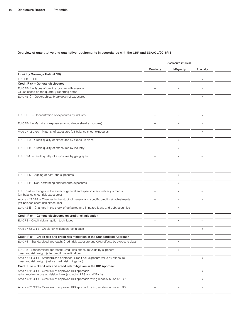|                                                                                                                                          | Disclosure interval      |                          |                           |
|------------------------------------------------------------------------------------------------------------------------------------------|--------------------------|--------------------------|---------------------------|
|                                                                                                                                          | Quarterly                | Half-yearly              | Annually                  |
| Liquidity Coverage Ratio (LCR)                                                                                                           |                          |                          |                           |
| EU LIQ1 - LCR                                                                                                                            | $\overline{\phantom{0}}$ | $\overline{\phantom{a}}$ | $\times$                  |
| Credit Risk - General disclosures                                                                                                        |                          |                          |                           |
| EU CRB-B - Types of credit exposure with average<br>values based on the quarterly reporting dates                                        |                          |                          | $\times$                  |
| EU CRB-C - Geographical breakdown of exposures                                                                                           |                          |                          | $\times$                  |
| EU CRB-D - Concentration of exposures by industry                                                                                        | $\equiv$                 |                          | $\times$                  |
| EU CRB-E - Maturity of exposures (on-balance sheet exposures)                                                                            | $\overline{\phantom{a}}$ |                          | $\times$                  |
| Article 442 CRR - Maturity of exposures (off-balance sheet exposures)                                                                    | $\overline{\phantom{a}}$ | $-$                      | $\times$                  |
| EU CR1-A - Credit quality of exposures by exposure class                                                                                 | $\overline{\phantom{0}}$ | $\times$                 | $\overline{\phantom{m}}$  |
| EU CR1-B - Credit quality of exposures by industry                                                                                       | $\overline{\phantom{a}}$ | $\times$                 | $\overline{\phantom{m}}$  |
| EU CR1-C - Credit quality of exposures by geography                                                                                      | $\overline{\phantom{m}}$ | $\times$                 | $\overline{\phantom{0}}$  |
| EU CR1-D - Ageing of past-due exposures                                                                                                  | $\overline{\phantom{a}}$ | $\times$                 | $\overline{\phantom{m}}$  |
| EU CR1-E - Non-performing and forborne exposures                                                                                         | $\overline{\phantom{m}}$ | $\times$                 | $\overline{\phantom{0}}$  |
| EU CR2-A - Changes in the stock of general and specific credit risk adjustments<br>(on-balance sheet risk exposures)                     | $\overline{\phantom{0}}$ | $\times$                 | $\overline{\phantom{0}}$  |
| Article 442 CRR - Changes in the stock of general and specific credit risk adjustments<br>(off-balance sheet risk exposures)             |                          |                          | $\times$                  |
| EU CR2-B - Changes in the stock of defaulted and impaired loans and debt securities                                                      | $\overline{\phantom{m}}$ | $\times$                 | $\overline{\phantom{a}}$  |
| Credit Risk - General disclosures on credit risk mitigation                                                                              |                          |                          |                           |
| EU CR3 - Credit risk mitigation techniques                                                                                               |                          | $\times$                 | $\overline{\phantom{a}}$  |
| Article 453 CRR - Credit risk mitigation techniques                                                                                      | $\overline{\phantom{a}}$ | $\overline{\phantom{a}}$ | $\times$                  |
| Credit Risk - Credit risk and credit risk mitigation in the Standardised Approach                                                        |                          |                          |                           |
| EU CR4 - Standardised approach: Credit risk exposure and CRM effects by exposure class                                                   |                          |                          |                           |
| EU CR5 - Standardised approach: Credit risk exposure value by exposure<br>class and risk weight (after credit risk mitigation)           |                          | $\times$                 | $\overline{\phantom{0}}$  |
| Article 444 CRR - Standardised approach: Credit risk exposure value by exposure<br>class and risk weight (before credit risk mitigation) |                          |                          | $\times$                  |
| Credit Risk - Credit risk and credit risk mitigation in the IRB Approach                                                                 |                          |                          |                           |
| Article 452 CRR - Overview of approved IRB approach<br>rating models in use at Helaba Bank (excluding LBS and WIBank)                    |                          |                          | $\times$                  |
| Article 452 CRR - Overview of approved IRB approach rating models in use at FSP                                                          |                          |                          | $\boldsymbol{\mathsf{X}}$ |
| Article 452 CRR - Overview of approved IRB approach rating models in use at LBS                                                          |                          |                          | $\times$                  |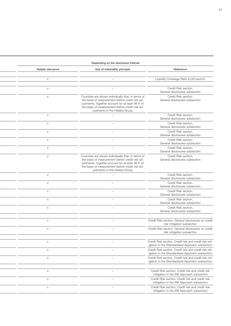| Depending on the disclosure interval |                                                                                                                                                                                                                                              |                                                                                                         |
|--------------------------------------|----------------------------------------------------------------------------------------------------------------------------------------------------------------------------------------------------------------------------------------------|---------------------------------------------------------------------------------------------------------|
| Helaba relevance                     | Use of materiality principle                                                                                                                                                                                                                 | Reference                                                                                               |
|                                      |                                                                                                                                                                                                                                              |                                                                                                         |
| $\times$                             |                                                                                                                                                                                                                                              | Liquidity Coverage Ratio (LCR) section                                                                  |
| $\times$                             |                                                                                                                                                                                                                                              | Credit Risk section,<br>General disclosures subsection                                                  |
| $\times$                             | Countries are shown individually that, in terms of<br>the basis of measurement before credit risk ad-<br>justments, together account for at least 95% of<br>the basis of measurement before credit risk ad-<br>justments in the Helaba Group | Credit Risk section,<br>General disclosures subsection                                                  |
| $\times$                             |                                                                                                                                                                                                                                              | Credit Risk section,<br>General disclosures subsection                                                  |
| $\times$                             |                                                                                                                                                                                                                                              | Credit Risk section,<br>General disclosures subsection                                                  |
| $\times$                             |                                                                                                                                                                                                                                              | Credit Risk section,<br>General disclosures subsection                                                  |
| $\times$                             | $\overline{\phantom{a}}$                                                                                                                                                                                                                     | Credit Risk section,<br>General disclosures subsection                                                  |
| $\times$                             | $\overline{\phantom{a}}$                                                                                                                                                                                                                     | Credit Risk section,<br>General disclosures subsection                                                  |
| $\times$                             | Countries are shown individually that, in terms of<br>the basis of measurement before credit risk ad-<br>justments, together account for at least 95% of<br>the basis of measurement before credit risk ad-<br>justments in the Helaba Group | Credit Risk section,<br>General disclosures subsection                                                  |
| $\times$                             |                                                                                                                                                                                                                                              | Credit Risk section,<br>General disclosures subsection                                                  |
| $\times$                             |                                                                                                                                                                                                                                              | Credit Risk section,<br>General disclosures subsection                                                  |
| $\times$                             | $\overline{\phantom{a}}$                                                                                                                                                                                                                     | Credit Risk section,<br>General disclosures subsection                                                  |
| $\times$                             | $\equiv$                                                                                                                                                                                                                                     | Credit Risk section,<br>General disclosures subsection                                                  |
| $\times$                             |                                                                                                                                                                                                                                              | Credit Risk section,<br>General disclosures subsection                                                  |
|                                      |                                                                                                                                                                                                                                              |                                                                                                         |
| $\times$                             |                                                                                                                                                                                                                                              | Credit Risk section, General disclosures on credit<br>risk mitigation subsection                        |
| $\times$                             |                                                                                                                                                                                                                                              | Credit Risk section, General disclosures on credit<br>risk mitigation subsection                        |
| $\times$                             |                                                                                                                                                                                                                                              | Credit Risk section, Credit risk and credit risk mit<br>igation in the Standardised Approach subsection |
| $\times$                             | $\overline{\phantom{0}}$                                                                                                                                                                                                                     | Credit Risk section, Credit risk and credit risk mit<br>igation in the Standardised Approach subsection |
| $\times$                             |                                                                                                                                                                                                                                              | Credit Risk section, Credit risk and credit risk mit<br>igation in the Standardised Approach subsection |
| $\times$                             |                                                                                                                                                                                                                                              | Credit Risk section, Credit risk and credit risk<br>mitigation in the IRB Approach subsection           |
| $\times$                             |                                                                                                                                                                                                                                              | Credit Risk section, Credit risk and credit risk<br>mitigation in the IRB Approach subsection           |
| $\times$                             |                                                                                                                                                                                                                                              | Credit Risk section, Credit risk and credit risk<br>mitigation in the IRB Approach subsection           |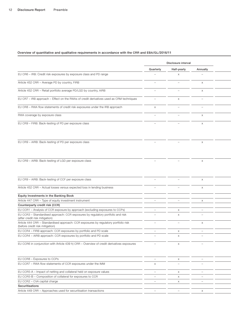|                                                                                                                        | Disclosure interval      |                          |                                 |
|------------------------------------------------------------------------------------------------------------------------|--------------------------|--------------------------|---------------------------------|
|                                                                                                                        | Quarterly                | Half-yearly              | Annually                        |
| EU CR6 - IRB: Credit risk exposures by exposure class and PD range                                                     |                          | X                        |                                 |
| Article 452 CRR - Average PD by country, FIRB                                                                          |                          | $\overline{\phantom{a}}$ | $\mathsf{X}$                    |
|                                                                                                                        |                          |                          |                                 |
| Article 452 CRR - Retail portfolio average PD/LGD by country, AIRB                                                     | $\overline{\phantom{0}}$ | $\overline{\phantom{a}}$ | $\times$                        |
| EU CR7 - IRB approach - Effect on the RWAs of credit derivatives used as CRM techniques                                |                          | $\times$                 |                                 |
| EU CR8 - RWA flow statements of credit risk exposures under the IRB approach                                           | $\times$                 | $\overline{\phantom{0}}$ |                                 |
| RWA coverage by exposure class                                                                                         | $\overline{\phantom{a}}$ | $\overline{\phantom{m}}$ | $\times$                        |
| EU CR9 - FIRB: Back-testing of PD per exposure class                                                                   |                          |                          | $\times$                        |
|                                                                                                                        |                          |                          |                                 |
| EU CR9 - AIRB: Back-testing of PD per exposure class                                                                   |                          |                          | $\mathsf{x}$                    |
|                                                                                                                        |                          |                          |                                 |
|                                                                                                                        |                          |                          |                                 |
| EU CR9 - AIRB: Back-testing of LGD per exposure class                                                                  |                          |                          | $\mathsf{x}$                    |
|                                                                                                                        |                          |                          |                                 |
|                                                                                                                        |                          |                          |                                 |
| EU CR9 - AIRB: Back-testing of CCF per exposure class                                                                  |                          |                          | $\times$                        |
| Article 452 CRR - Actual losses versus expected loss in lending business                                               |                          |                          | $\times$                        |
| Equity Investments in the Banking Book                                                                                 |                          |                          |                                 |
| Article 447 CRR - Type of equity investment instrument                                                                 |                          |                          | $\times$                        |
| Counterparty credit risk (CCR)                                                                                         |                          |                          |                                 |
| EU CCR1 - Analysis of CCR exposure by approach (excluding exposures to CCPs)                                           | $\overline{\phantom{m}}$ | $\boldsymbol{\times}$    |                                 |
| EU CCR3 - Standardised approach: CCR exposures by regulatory portfolio and risk                                        |                          | $\times$                 |                                 |
| (after credit risk mitigation)                                                                                         |                          |                          |                                 |
| Article 444 CRR - Standardised approach: CCR exposures by regulatory portfolio risk<br>(before credit risk mitigation) | $\overline{\phantom{m}}$ | $\overline{\phantom{a}}$ | $\times$                        |
| EU CCR4 - FIRB approach: CCR exposures by portfolio and PD scale                                                       | $\overline{\phantom{m}}$ | $\times$                 |                                 |
| EU CCR4 - AIRB approach: CCR exposures by portfolio and PD scale                                                       |                          | X                        |                                 |
| EU CCR6 in conjunction with Article 439 h) CRR - Overview of credit derivatives exposures                              |                          | $\times$                 |                                 |
|                                                                                                                        |                          |                          |                                 |
|                                                                                                                        |                          |                          |                                 |
|                                                                                                                        |                          |                          |                                 |
| EU CCR8 - Exposures to CCPs                                                                                            | $\overline{\phantom{a}}$ | $\times$                 | $\overline{\phantom{a}}$        |
| EU CCR7 - RWA flow statements of CCR exposures under the IMM                                                           | $\times$                 | $\overline{\phantom{0}}$ |                                 |
| EU CCR5-A - Impact of netting and collateral held on exposure values                                                   | $\equiv$                 | $\times$                 | $\hspace{0.1mm}-\hspace{0.1mm}$ |
| EU CCR5-B - Composition of collateral for exposures to CCR                                                             | $ \,$                    | X                        | $\overline{\phantom{a}}$        |
| EU CCR2 - CVA capital charge                                                                                           | $\overline{\phantom{m}}$ | $\times$                 | $\overline{\phantom{a}}$        |
| Securitisations                                                                                                        |                          |                          |                                 |
| Article 449 CRR - Approaches used for securitisation transactions                                                      |                          |                          | $\times$                        |
|                                                                                                                        |                          |                          |                                 |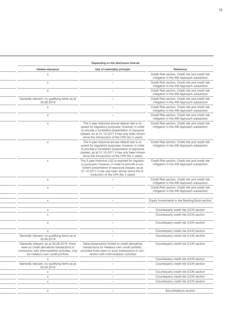#### Depending on the disclosure interval

| Helaba relevance                                                                                                                                                                  | Use of materiality principle                                                                                                                                                                                                                                     | Reference                                                                                     |
|-----------------------------------------------------------------------------------------------------------------------------------------------------------------------------------|------------------------------------------------------------------------------------------------------------------------------------------------------------------------------------------------------------------------------------------------------------------|-----------------------------------------------------------------------------------------------|
| $\times$                                                                                                                                                                          |                                                                                                                                                                                                                                                                  | Credit Risk section, Credit risk and credit risk<br>mitigation in the IRB Approach subsection |
| $\times$                                                                                                                                                                          |                                                                                                                                                                                                                                                                  | Credit Risk section, Credit risk and credit risk<br>mitigation in the IRB Approach subsection |
| $\times$                                                                                                                                                                          |                                                                                                                                                                                                                                                                  | Credit Risk section, Credit risk and credit risk<br>mitigation in the IRB Approach subsection |
| Generally relevant, no qualifying items as at<br>30.06.2018                                                                                                                       |                                                                                                                                                                                                                                                                  | Credit Risk section, Credit risk and credit risk<br>mitigation in the IRB Approach subsection |
| $\times$                                                                                                                                                                          |                                                                                                                                                                                                                                                                  | Credit Risk section, Credit risk and credit risk<br>mitigation in the IRB Approach subsection |
| $\times$                                                                                                                                                                          |                                                                                                                                                                                                                                                                  | Credit Risk section, Credit risk and credit risk<br>mitigation in the IRB Approach subsection |
|                                                                                                                                                                                   | The 5-year historical annual default rate is re-<br>quired for regulatory purposes; however, in order<br>to provide a consistent presentation of exposure<br>classes, as at 31.12.2017 it has only been shown<br>since the introduction of the CRR (for 4 years) | Credit Risk section, Credit risk and credit risk<br>mitigation in the IRB Approach subsection |
| $\times$                                                                                                                                                                          | The 5-year historical annual default rate is re-<br>quired for regulatory purposes; however, in order<br>to provide a consistent presentation of exposure<br>classes, as at 31.12.2017 it has only been shown<br>since the introduction of the CRR (for 4 years) | Credit Risk section, Credit risk and credit risk<br>mitigation in the IRB Approach subsection |
| $\times$                                                                                                                                                                          | The 5-year historical LGD is required for regulato-<br>ry purposes; however, in order to provide a con-<br>sistent presentation of exposure classes, as at<br>31.12.2017 it has only been shown since the in-<br>troduction of the CRR (for 4 years)             | Credit Risk section. Credit risk and credit risk<br>mitigation in the IRB Approach subsection |
| $\times$                                                                                                                                                                          |                                                                                                                                                                                                                                                                  | Credit Risk section, Credit risk and credit risk<br>mitigation in the IRB Approach subsection |
| $\times$                                                                                                                                                                          |                                                                                                                                                                                                                                                                  | Credit Risk section, Credit risk and credit risk<br>mitigation in the IRB Approach subsection |
| $\times$                                                                                                                                                                          |                                                                                                                                                                                                                                                                  | Equity Investments in the Banking Book section                                                |
|                                                                                                                                                                                   |                                                                                                                                                                                                                                                                  |                                                                                               |
| $\times$                                                                                                                                                                          | $\overline{\phantom{0}}$                                                                                                                                                                                                                                         | Counterparty credit risk (CCR) section                                                        |
| $\times$                                                                                                                                                                          |                                                                                                                                                                                                                                                                  | Counterparty credit risk (CCR) section                                                        |
| $\times$                                                                                                                                                                          |                                                                                                                                                                                                                                                                  | Counterparty credit risk (CCR) section                                                        |
| $\times$                                                                                                                                                                          |                                                                                                                                                                                                                                                                  | Counterparty credit risk (CCR) section                                                        |
| Generally relevant, no qualifying items as at<br>30.06.2018                                                                                                                       | $\overline{\phantom{a}}$                                                                                                                                                                                                                                         | Counterparty credit risk (CCR) section                                                        |
| Generally relevant; as at 30.06.2018, there<br>were no credit derivatives transactions in<br>connection with intermediation activities, only<br>for Helaba's own credit portfolio | Table presentation limited to credit derivatives<br>transactions for Helaba's own credit portfolio,<br>provided there were no such transactions in con-<br>nection with intermediation activities                                                                | Counterparty credit risk (CCR) section                                                        |
| $\times$                                                                                                                                                                          | $\overline{\phantom{m}}$                                                                                                                                                                                                                                         | Counterparty credit risk (CCR) section                                                        |
| Generally relevant, no qualifying items as at<br>30.09.2018                                                                                                                       |                                                                                                                                                                                                                                                                  | Counterparty credit risk (CCR) section                                                        |
| $\times$                                                                                                                                                                          |                                                                                                                                                                                                                                                                  | Counterparty credit risk (CCR) section                                                        |
| $\times$                                                                                                                                                                          |                                                                                                                                                                                                                                                                  | Counterparty credit risk (CCR) section                                                        |
| $\times$                                                                                                                                                                          |                                                                                                                                                                                                                                                                  | Counterparty credit risk (CCR) section                                                        |
| $\times$                                                                                                                                                                          |                                                                                                                                                                                                                                                                  | Securitisations section                                                                       |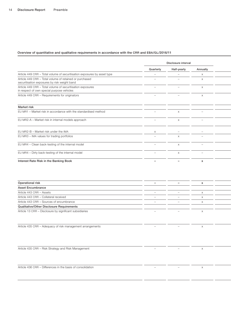|                                                                                                          | Disclosure interval      |                          |                           |
|----------------------------------------------------------------------------------------------------------|--------------------------|--------------------------|---------------------------|
|                                                                                                          | Quarterly                | Half-yearly              | Annually                  |
| Article 449 CRR - Total volume of securitisation exposures by asset type                                 | $\overline{\phantom{a}}$ | $\overline{\phantom{0}}$ | $\times$                  |
| Article 449 CRR - Total volume of retained or purchased<br>securitisation exposures by risk weight band  | $\overline{\phantom{0}}$ | $-$                      | $\times$                  |
| Article 449 CRR - Total volume of securitisation exposures<br>in respect of own special purpose vehicles | $\overline{\phantom{a}}$ | $\overline{\phantom{0}}$ | $\times$                  |
| Article 449 CRR - Requirements for originators                                                           | $\overline{\phantom{0}}$ | $\overline{\phantom{a}}$ | $\times$                  |
| Market risk                                                                                              |                          |                          |                           |
| EU MR1 - Market risk in accordance with the standardised method                                          | $\overline{\phantom{0}}$ | $\times$                 |                           |
| EU MR2-A - Market risk in internal models approach                                                       | $\overline{\phantom{0}}$ | $\times$                 |                           |
| EU MR2-B - Market risk under the IMA                                                                     | $\times$                 | $\overline{\phantom{a}}$ |                           |
| EU MR3 - IMA values for trading portfolios                                                               | $\overline{\phantom{0}}$ | $\times$                 | $\overline{\phantom{m}}$  |
| EU MR4 - Clean back-testing of the internal model                                                        | $\overline{\phantom{0}}$ | $\times$                 | $\overline{\phantom{m}}$  |
| EU MR4 - Dirty back-testing of the internal model                                                        | $\overline{\phantom{0}}$ | $\times$                 | $\overline{\phantom{0}}$  |
| Interest Rate Risk in the Banking Book                                                                   |                          |                          | $\boldsymbol{\mathsf{x}}$ |
|                                                                                                          |                          |                          |                           |
|                                                                                                          |                          |                          |                           |
| Operational risk                                                                                         | $\overline{\phantom{a}}$ | $\overline{\phantom{a}}$ | $\mathsf{x}$              |
| <b>Asset Encumbrance</b>                                                                                 |                          |                          |                           |
| Article 443 CRR - Assets                                                                                 | $\overline{\phantom{m}}$ | $\overline{\phantom{a}}$ | $\times$                  |
| Article 443 CRR - Collateral received                                                                    | $\qquad \qquad -$        | $\overline{\phantom{a}}$ | $\times$                  |
| Article 443 CRR - Sources of encumbrance                                                                 | $\overline{\phantom{0}}$ | $\overline{\phantom{a}}$ | $\times$                  |
| Qualitative/Other Disclosure Requirements                                                                |                          |                          |                           |
| Article 13 CRR - Disclosure by significant subsidiaries                                                  | $\equiv$                 | $\overline{\phantom{a}}$ | $\times$                  |

Article 435 CRR – Adequacy of risk management arrangements – – x x Please refer to the "Risk report" section in con-

Article 435 CRR – Risk Strategy and Risk Management – – x x The disclosures relating to the risk strategy and

Article 436 CRR – Differences in the basis of consolidation – – x x Information on the group of consolidated compa-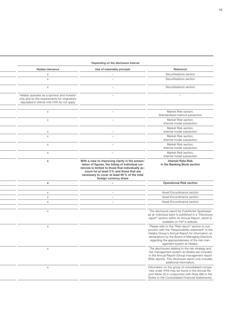|                                                                                                                                                                                                                                                                                               | Depending on the disclosure interval                                                                                                                                                                                                                                            |                                                                                                                                         |
|-----------------------------------------------------------------------------------------------------------------------------------------------------------------------------------------------------------------------------------------------------------------------------------------------|---------------------------------------------------------------------------------------------------------------------------------------------------------------------------------------------------------------------------------------------------------------------------------|-----------------------------------------------------------------------------------------------------------------------------------------|
| Reference                                                                                                                                                                                                                                                                                     | Use of materiality principle                                                                                                                                                                                                                                                    | Helaba relevance                                                                                                                        |
| Securitisations section                                                                                                                                                                                                                                                                       |                                                                                                                                                                                                                                                                                 | $\times$                                                                                                                                |
| Securitisations section                                                                                                                                                                                                                                                                       |                                                                                                                                                                                                                                                                                 | $\times$                                                                                                                                |
| Securitisations section                                                                                                                                                                                                                                                                       | $\overline{\phantom{a}}$                                                                                                                                                                                                                                                        | $\times$                                                                                                                                |
|                                                                                                                                                                                                                                                                                               |                                                                                                                                                                                                                                                                                 | Helaba operates as a sponsor and investor<br>only and so the requirements for originators<br>stipulated in Article 449 CRR do not apply |
| Market Risk section,<br>Standardised method subsection                                                                                                                                                                                                                                        |                                                                                                                                                                                                                                                                                 | $\times$                                                                                                                                |
| Market Risk section,<br>Internal model subsection                                                                                                                                                                                                                                             |                                                                                                                                                                                                                                                                                 | $\times$                                                                                                                                |
| Market Risk section,<br>Internal model subsection                                                                                                                                                                                                                                             |                                                                                                                                                                                                                                                                                 | $\times$                                                                                                                                |
| Market Risk section,<br>Internal model subsection                                                                                                                                                                                                                                             |                                                                                                                                                                                                                                                                                 | $\times$                                                                                                                                |
| Market Risk section,<br>Internal model subsection                                                                                                                                                                                                                                             |                                                                                                                                                                                                                                                                                 | $\times$                                                                                                                                |
| Market Risk section,<br>Internal model subsection                                                                                                                                                                                                                                             |                                                                                                                                                                                                                                                                                 | $\times$                                                                                                                                |
| <b>Interest Rate Risk</b><br>in the Banking Book section                                                                                                                                                                                                                                      | With a view to improving clarity in the presen-<br>tation of figures, the listing of individual cur-<br>rencies is limited to those that individually ac-<br>count for at least 5% and those that are<br>necessary to cover at least 95% of the total<br>foreign currency share | $\boldsymbol{\mathsf{x}}$                                                                                                               |
| <b>Operational Risk section</b>                                                                                                                                                                                                                                                               |                                                                                                                                                                                                                                                                                 | $\boldsymbol{\mathsf{x}}$                                                                                                               |
|                                                                                                                                                                                                                                                                                               |                                                                                                                                                                                                                                                                                 |                                                                                                                                         |
| Asset Encumbrance section                                                                                                                                                                                                                                                                     |                                                                                                                                                                                                                                                                                 | $\times$                                                                                                                                |
| Asset Encumbrance section                                                                                                                                                                                                                                                                     | $\overline{\phantom{0}}$                                                                                                                                                                                                                                                        | $\times$                                                                                                                                |
| Asset Encumbrance section                                                                                                                                                                                                                                                                     |                                                                                                                                                                                                                                                                                 | $\times$                                                                                                                                |
| The disclosure report for Frankfurter Sparkasse<br>as an individual bank is published in a "Disclosure<br>report" section within its Annual Report, which is<br>available on FSP's website.                                                                                                   |                                                                                                                                                                                                                                                                                 | $\mathsf X$                                                                                                                             |
| Please refer to the "Risk report" section in con-<br>junction with the "Responsibility statement" in the<br>Helaba Group's Annual Report for information on<br>declarations by the Board of Managing Directors<br>regarding the appropriateness of the risk man-<br>agement system at Helaba. |                                                                                                                                                                                                                                                                                 | $\times$                                                                                                                                |
| The disclosures relating to the risk strategy and<br>risk management system at Helaba are included<br>in the Annual Report (Group management report<br>(Risk report)). This disclosure report only includes<br>additional information.                                                        |                                                                                                                                                                                                                                                                                 | $\times$                                                                                                                                |
| Information on the group of consolidated compa-<br>nies under IFRS may be found in the Annual Re-<br>port (Note (3) in conjunction with Note (88) in the<br>Notes to the Consolidated Financial Statements).                                                                                  |                                                                                                                                                                                                                                                                                 | $\times$                                                                                                                                |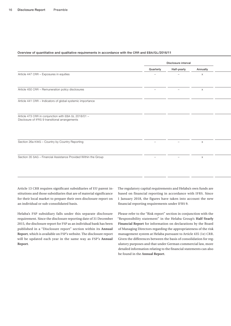Article 13 CRR requires significant subsidiaries of EU parent institutions and those subsidiaries that are of material significance for their local market to prepare their own disclosure report on an individual or sub-consolidated basis.

Helaba's FSP subsidiary falls under this separate disclosure requirement. Since the disclosure reporting date of 31 December 2015, the disclosure report for FSP as an individual bank has been published in a "Disclosure report" section within its **[Annual](https://www.frankfurter-sparkasse.de/de/home/ihre-sparkasse/unternehmen.html?n=true&stref=hnav)  [Report](https://www.frankfurter-sparkasse.de/de/home/ihre-sparkasse/unternehmen.html?n=true&stref=hnav)**, which is available on FSP's website. The disclosure report will be updated each year in the same way as FSP's **[Annual](https://www.frankfurter-sparkasse.de/de/home/ihre-sparkasse/unternehmen.html?n=true&stref=hnav)  [Report](https://www.frankfurter-sparkasse.de/de/home/ihre-sparkasse/unternehmen.html?n=true&stref=hnav)**.

The regulatory capital requirements and Helaba's own funds are based on financial reporting in accordance with IFRS. Since 1 January 2018, the figures have taken into account the new financial reporting requirements under IFRS 9.

Please refer to the "Risk report" section in conjunction with the "Responsibility statement" in the Helaba Group's **[Half-Yearly](http://geschaeftsbericht.helaba.de/) [Financial Report](http://geschaeftsbericht.helaba.de/)** for information on declarations by the Board of Managing Directors regarding the appropriateness of the risk management system at Helaba pursuant to Article 435 (1e) CRR. Given the differences between the basis of consolidation for regulatory purposes and that under German commercial law, more detailed information relating to the financial statements can also be found in the **[Annual Report](http://geschaeftsbericht.helaba.de/)**.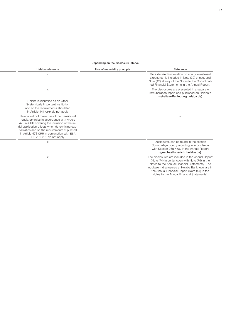|                                                                                                                                                                                                                                                                                                                           | Depending on the disclosure interval |                                                                                                                                                                                                                                                                                                             |
|---------------------------------------------------------------------------------------------------------------------------------------------------------------------------------------------------------------------------------------------------------------------------------------------------------------------------|--------------------------------------|-------------------------------------------------------------------------------------------------------------------------------------------------------------------------------------------------------------------------------------------------------------------------------------------------------------|
| Helaba relevance                                                                                                                                                                                                                                                                                                          | Use of materiality principle         | Reference                                                                                                                                                                                                                                                                                                   |
| $\times$                                                                                                                                                                                                                                                                                                                  |                                      | More detailed information on equity investment<br>exposures, is included in Note (30) et seq. and<br>Note (42) et seq. of the Notes to the Consolidat-<br>ed Financial Statements in the Annual Report.                                                                                                     |
|                                                                                                                                                                                                                                                                                                                           |                                      | The disclosures are presented in a separate<br>remuneration report and published on Helaba's<br>website (offenlegung.helaba.de)                                                                                                                                                                             |
| Helaba is identified as an Other<br>Systemically Important Institution<br>and so the requirements stipulated<br>in Article 441 CRR do not apply                                                                                                                                                                           |                                      |                                                                                                                                                                                                                                                                                                             |
| Helaba will not make use of the transitional<br>regulatory rules in accordance with Article<br>473 a) CRR covering the inclusion of the ini-<br>tial application effects when determining cap-<br>ital ratios and so the requirements stipulated<br>in Article 473 CRR in conjunction with EBA<br>GL 2018/01 do not apply |                                      |                                                                                                                                                                                                                                                                                                             |
|                                                                                                                                                                                                                                                                                                                           |                                      | Disclosures can be found in the section<br>Country-by-country reporting in accordance<br>with Section 26a KWG in the Annual Report<br>(geschaeftsbericht.helaba.de)                                                                                                                                         |
| $\times$                                                                                                                                                                                                                                                                                                                  |                                      | The disclosures are included in the Annual Report<br>(Note (74) in conjunction with Note (75) in the<br>Notes to the Annual Financial Statements). The<br>equivalent disclosures at Helaba Bank level are in<br>the Annual Financial Report (Note (44) in the<br>Notes to the Annual Financial Statements). |
|                                                                                                                                                                                                                                                                                                                           |                                      |                                                                                                                                                                                                                                                                                                             |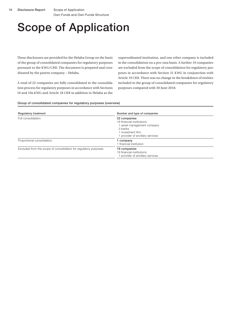## <span id="page-17-0"></span>Scope of Application

These disclosures are provided for the Helaba Group on the basis of the group of consolidated companies for regulatory purposes pursuant to the KWG/CRR. The document is prepared and coordinated by the parent company – Helaba.

A total of 22 companies are fully consolidated in the consolidation process for regulatory purposes in accordance with Sections 10 and 10a KWG and Article 18 CRR in addition to Helaba as the

superordinated institution, and one other company is included in the consolidation on a pro-rata basis. A further 19 companies are excluded from the scope of consolidation for regulatory purposes in accordance with Section 31 KWG in conjunction with Article 19 CRR. There was no change in the breakdown of entities included in the group of consolidated companies for regulatory purposes compared with 30 June 2018.

#### Group of consolidated companies for regulatory purposes (overview)

| <b>Regulatory treatment</b>                                      | Number and type of companies                                                                                                            |  |  |  |  |
|------------------------------------------------------------------|-----------------------------------------------------------------------------------------------------------------------------------------|--|--|--|--|
| Full consolidation                                               | 22 companies<br>16 financial institutions<br>asset management company<br>3 banks<br>1 investment firm<br>provider of ancillary services |  |  |  |  |
| Proportional consolidation                                       | 1 company<br>1 financial institution                                                                                                    |  |  |  |  |
| Excluded from the scope of consolidation for regulatory purposes | 19 companies<br>18 financial institutions<br>provider of ancillary services                                                             |  |  |  |  |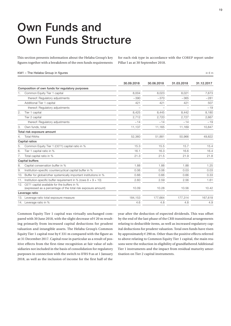### <span id="page-18-0"></span>Own Funds and Own Funds Structure

This section presents information about the Helaba Group's key figures together with a breakdown of the own funds requirements for each risk type in accordance with the COREP report under Pillar I as at 30 September 2018.

#### KM1 – The Helaba Group in figures in  $\epsilon$  m

|     |                                                                                                              | 30.09.2018 | 30.06.2018 | 31.03.2018 | 31.12.2017 |
|-----|--------------------------------------------------------------------------------------------------------------|------------|------------|------------|------------|
|     | Composition of own funds for regulatory purposes                                                             |            |            |            |            |
| 1.  | Common Equity Tier 1 capital                                                                                 | 8.004      | 8.023      | 8.021      | 7.673      |
|     | thereof: Regulatory adjustments                                                                              | $-390$     | $-370$     | $-365$     | $-281$     |
|     | Additional Tier 1 capital                                                                                    | 421        | 421        | 421        | 507        |
|     | thereof: Regulatory adjustments                                                                              |            |            |            | $-19$      |
| 2.  | Tier 1 capital                                                                                               | 8,425      | 8,445      | 8,442      | 8,180      |
|     | Tier 2 capital                                                                                               | 2,712      | 2,720      | 2.727      | 2,667      |
|     | thereof: Regulatory adjustments                                                                              | $-14$      | $-14$      | $-14$      | $-19$      |
| 3.  | Own funds, total                                                                                             | 11,137     | 11,165     | 11,169     | 10,847     |
|     | Total risk exposure amount                                                                                   |            |            |            |            |
| 4.  | <b>Total RWAs</b>                                                                                            | 52,360     | 51,881     | 50,966     | 49,822     |
|     | Capital ratios                                                                                               |            |            |            |            |
| 5.  | Common Equity Tier 1 (CET1) capital ratio in %                                                               | 15.3       | 15.5       | 15.7       | 15.4       |
| 6.  | Tier 1 capital ratio in %                                                                                    | 16.1       | 16.3       | 16.6       | 16.4       |
| 7.  | Total capital ratio in %                                                                                     | 21.3       | 21.5       | 21.9       | 21.8       |
|     | <b>Capital buffers</b>                                                                                       |            |            |            |            |
| 8.  | Capital conservation buffer in %                                                                             | 1.88       | 1.88       | 1.88       | 1.25       |
| 9.  | Institution-specific countercyclical capital buffer in %                                                     | 0.06       | 0.06       | 0.03       | 0.03       |
| 10. | Buffer for global/other systemically important institutions in %                                             | 0.66       | 0.66       | 0.66       | 0.33       |
| 11. | Institution-specific buffer requirement in % (rows $8 + 9 + 10$ )                                            | 2.60       | 2.59       | 2.56       | 1.61       |
| 12. | CET1 capital available for the buffers in %<br>(expressed as a percentage of the total risk exposure amount) | 10.09      | 10.28      | 10.56      | 10.42      |
|     | Leverage ratio                                                                                               |            |            |            |            |
|     | 13. Leverage ratio total exposure measure                                                                    | 184,153    | 177,664    | 177,314    | 167,618    |
|     | 14. Leverage ratio in %                                                                                      | 4.6        | 4.8        | 4.8        | 4.9        |
|     |                                                                                                              |            |            |            |            |

Common Equity Tier 1 capital was virtually unchanged compared with 30 June 2018, with the slight decrease of  $\epsilon$  20 m resulting primarily from increased capital deductions for prudent valuation and intangible assets. The Helaba Group's Common Equity Tier 1 capital rose by  $\epsilon$  331 m compared with the figure as at 31 December 2017. Capital rose in particular as a result of positive effects from the first-time recognition at fair value of subsidiaries not included in the basis of consolidation for regulatory purposes in connection with the switch to IFRS 9 as at 1 January 2018, as well as the inclusion of income for the first half of the

year after the deduction of expected dividends. This was offset by the end of the last phase of the CRR transitional arrangements relating to deductible items, as well as increased regulatory capital deductions for prudent valuation. Total own funds have risen by approximately  $\epsilon$  290 m. Other than the positive effects referred to above relating to Common Equity Tier 1 capital, the main reasons were the reduction in eligibility of grandfathered Additional Tier 1 instruments and the impact from residual maturity amortisation on Tier 2 capital instruments.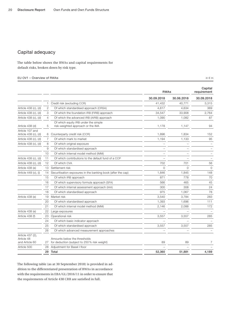#### <span id="page-19-0"></span>Capital adequacy

The table below shows the RWAs and capital requirements for default risks, broken down by risk type.

#### EU OV1 – Overview of RWAs in  $\epsilon$  m

RWAs Capital requirement 30.09.2018 30.06.2018 30.09.2018 1 Credit risk (excluding CCR) 2,315 Article 438 (c), (d)  $\overline{a}$   $\overline{a}$  Of which standardised approach (CRSA)  $\overline{a}$  4,617  $\overline{a}$  4,634 369 Article 438 (c), (d) 3 Of which the foundation IRB (FIRB) approach 34,547 33,908 2,764 Article 438 (c), (d) 4 Of which the advanced IRB (AIRB) approach 1,090 1,090 1,082 87 Article 438 (d) 5 Of which equity IRB under the simple risk-weighted approach or the IMA 1,178 1,178 1,147 94 Article 107 and Article 438 (c), (d) 6 Counterparty credit risk (CCR) 1,896 1,896 1,834 152 Article 438 (c), (d) 7 Of which mark to market 1,194 1,194 1,133 95 Article 438 (c), (d) 8 Of which original exposure  $-$ 9 Of which standardised approach – – – 10 Of which internal model method (IMM) – – – Article 438 (c), (d) 11 Of which contributions to the default fund of a CCP – – – Article 438 (c), (d) 12 Of which CVA 702 701 56 Article 438 (e) 13 Settlement risk 0 0 0 Article 449 (o), (i) 14 Securitisation exposures in the banking book (after the cap) 1,846 1,845 1,845 148 15 Of which IRB approach 200 and 200 and 371 278 279 270 16 Of which supervisory formula approach (SFA) 566 566 465 45 17 Of which internal assessment approach (IAA) 300 308 24 18 Of which standardised approach 975 1,067 78 Article 438 (e) 19 Market risk 3,540 3,784 283 20 Of which standardised approach 1,393 1,696 111 21 Of which internal model method (IMM) 2,146 2,088 172 Article 438 (e) 22 Large exposures – – – Article 438 (f) 23 Operational risk 3,557 3,557 285 24 Of which basic indicator approach 25 Of which standardised approach 3,557 3,557 385 26 Of which advanced measurement approaches – – – Article 437 (2), Article 48 and Article 60 27 Amounts below the thresholds for deduction (subject to 250 % risk weight) 89 89 89 89 89 7 7 Article 500 28 Adjustment for Basel I floor 29 Total 52,360 51,881 4,189

The following table (as at 30 September 2018) is provided in addition to the differentiated presentation of RWAs in accordance with the requirements in EBA/GL/2016/11 in order to ensure that the requirements of Article 438 CRR are satisfied in full.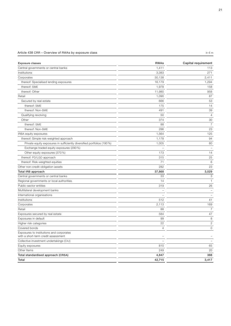#### Article 438 CRR – Overview of RWAs by exposure class in  $\epsilon$  m in  $\epsilon$  m

| <b>Exposure classes</b>                                                         | <b>RWAs</b> | Capital requirement      |
|---------------------------------------------------------------------------------|-------------|--------------------------|
| Central governments or central banks                                            | 1,411       | 113                      |
| Institutions                                                                    | 3,383       | 271                      |
| Corporates                                                                      | 30,138      | 2,411                    |
| thereof: Specialised lending exposures                                          | 16,179      | 1,294                    |
| thereof: SME                                                                    | 1,978       | 158                      |
| thereof: Other                                                                  | 11,980      | 958                      |
| Retail                                                                          | 1,090       | 87                       |
| Secured by real estate                                                          | 666         | 53                       |
| thereof: SME                                                                    | 175         | 14                       |
| thereof: Non-SME                                                                | 491         | 39                       |
| Qualifying revolving                                                            | 50          | $\overline{4}$           |
| Other                                                                           | 374         | 30                       |
| thereof: SME                                                                    | 88          | $\overline{7}$           |
| thereof: Non-SME                                                                | 286         | 23                       |
| IRBA equity exposures                                                           | 1,564       | 125                      |
| thereof: Simple risk-weighted approach                                          | 1,178       | 94                       |
| Private equity exposures in sufficiently diversified portfolios (190 %)         | 1,005       | 80                       |
| Exchange traded equity exposures (290 %)                                        |             |                          |
| Other equity exposures (370 %)                                                  | 173         | 14                       |
| thereof: PD/LGD approach                                                        | 315         | 25                       |
| thereof: Risk-weighted equities                                                 | 71          | 6                        |
| Other non-credit-obligation assets                                              | 282         | 23                       |
| Total IRB approach                                                              | 37,868      | 3,029                    |
| Central governments or central banks                                            | 33          | 3                        |
| Regional governments or local authorities                                       | 14          | 1                        |
| Public-sector entities                                                          | 319         | 26                       |
| Multilateral development banks                                                  |             |                          |
| International organisations                                                     |             |                          |
| Institutions                                                                    | 512         | 41                       |
| Corporates                                                                      | 2,113       | 169                      |
| Retail                                                                          | 88          | 7                        |
| Exposures secured by real estate                                                | 584         | 47                       |
| Exposures in default                                                            | 99          | 8                        |
| Higher risk categories                                                          | 22          | $\mathbf{2}$             |
| Covered bonds                                                                   | 4           | 0                        |
| Exposures to institutions and corporates<br>with a short-term credit assessment |             |                          |
| Collective investment undertakings (CIU)                                        |             | $\overline{\phantom{0}}$ |
| Equity exposures                                                                | 810         | 65                       |
| Other Items                                                                     | 249         | 20                       |
| Total standardised approach (CRSA)                                              |             | 388                      |
|                                                                                 | 4,847       |                          |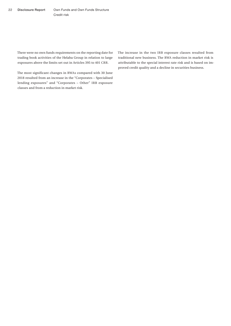There were no own funds requirements on the reporting date for trading book activities of the Helaba Group in relation to large exposures above the limits set out in Articles 395 to 401 CRR.

The most significant changes in RWAs compared with 30 June 2018 resulted from an increase in the "Corporates – Specialised lending exposures" and "Corporates – Other" IRB exposure classes and from a reduction in market risk.

The increase in the two IRB exposure classes resulted from traditional new business. The RWA reduction in market risk is attributable to the special interest rate risk and is based on improved credit quality and a decline in securities business.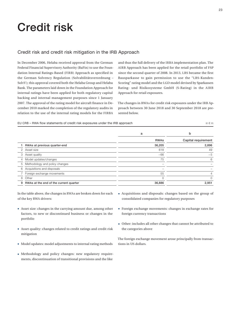## <span id="page-22-0"></span>Credit risk

#### Credit risk and credit risk mitigation in the IRB Approach

In December 2006, Helaba received approval from the German Federal Financial Supervisory Authority (BaFin) to use the Foundation Internal Ratings-Based (FIRB) Approach as specified in the German Solvency Regulation (Solvabilitätsverordnung – SolvV); this approval covered both the Helaba Group and Helaba Bank. The parameters laid down in the Foundation Approach for internal ratings have been applied for both regulatory capital backing and internal management purposes since 1 January 2007. The approval of the rating model for aircraft finance in December 2010 marked the completion of the regulatory audits in relation to the use of the internal rating models for the FIRBA

and thus the full delivery of the IRBA implementation plan. The AIRB Approach has been applied for the retail portfolio of FSP since the second quarter of 2008. In 2013, LBS became the first Bausparkasse to gain permission to use the "LBS-Kunden-Scoring" rating model and the LGD model devised by Sparkassen Rating- und Risikosysteme GmbH (S-Rating) in the AIRB Approach for retail exposures.

The changes in RWAs for credit risk exposures under the IRB Approach between 30 June 2018 and 30 September 2018 are presented below.

EU CR8 – RWA flow statements of credit risk exposures under the IRB approach  $\epsilon$  m

|                                             | a           | b                   |
|---------------------------------------------|-------------|---------------------|
|                                             | <b>RWAs</b> | Capital requirement |
| RWAs at previous quarter-end                | 36,205      | 2,896               |
| 2 Asset size                                | 618         | 49                  |
| 3<br>Asset quality                          | $-66$       | $-5$                |
| 4 Model updates/changes                     | 75          | 6                   |
| Methodology and policy changes<br>5         |             |                     |
| Acquisitions and disposals<br>6             |             |                     |
| Foreign exchange movements                  | 55          | 4                   |
| Other<br>8                                  | $\Omega$    | 0                   |
| RWAs at the end of the current quarter<br>9 | 36,886      | 2,951               |

In the table above, the changes in RWAs are broken down for each of the key RWA drivers:

- Asset size: changes in the carrying amount due, among other factors, to new or discontinued business or changes in the portfolio
- Asset quality: changes related to credit ratings and credit risk mitigation
- Model updates: model adjustments to internal rating methods
- Methodology and policy changes: new regulatory requirements, discontinuation of transitional provisions and the like
- Acquisitions and disposals: changes based on the group of consolidated companies for regulatory purposes
- Foreign exchange movements: changes in exchange rates for foreign currency transactions
- Other: includes all other changes that cannot be attributed to the categories above

The foreign exchange movement arose principally from transactions in US dollars.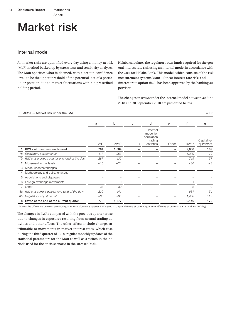#### Annex

## <span id="page-23-0"></span>Market risk

#### Internal model

All market risks are quantified every day using a money-at-risk (MaR) method backed up by stress tests and sensitivity analyses. The MaR specifies what is deemed, with a certain confidence level, to be the upper threshold of the potential loss of a portfolio or position due to market fluctuations within a prescribed holding period.

Helaba calculates the regulatory own funds required for the general interest rate risk using an internal model in accordance with the CRR for Helaba Bank. This model, which consists of the risk measurement systems MaRC² (linear interest rate risk) and ELLI (interest rate option risk), has been approved by the banking supervisor.

The changes in RWAs under the internal model between 30 June 2018 and 30 September 2018 are presented below.

#### EU MR2-B – Market risk under the IMA in  $\epsilon$  m

|    |                                               | a       | b       | c          | d                                                             | е     | f           | g                        |
|----|-----------------------------------------------|---------|---------|------------|---------------------------------------------------------------|-------|-------------|--------------------------|
|    |                                               | VaR     | sVaR    | <b>IRC</b> | Internal<br>model for<br>correlation<br>trading<br>activities | Other | <b>RWAs</b> | Capital re-<br>quirement |
|    | RWAs at previous quarter-end                  | 704     | 1,384   |            |                                                               |       | 2,088       | 167                      |
| 1a | Regulatory adjustments <sup>1)</sup>          | 417     | 953     |            |                                                               |       | 1,370       | 110                      |
| 1b | RWAs at previous quarter-end (end of the day) | 287     | 432     |            |                                                               |       | 719         | 57                       |
| 2  | Movement in risk levels                       | $-15$   | $-21$   |            |                                                               |       | $-36$       | $-3$                     |
| 3  | Model updates/changes                         |         |         |            |                                                               |       |             |                          |
| 4  | Methodology and policy changes                |         |         |            |                                                               |       |             |                          |
| 5  | Acquisitions and disposals                    |         |         |            |                                                               |       |             |                          |
| 6  | Foreign exchange movements                    | $\circ$ | $\circ$ |            |                                                               |       |             | $\circ$                  |
|    | Other                                         | $-33$   | 30      |            |                                                               |       | $-2$        | $-0$                     |
| 8a | RWAs at current quarter-end (end of the day)  | 239     | 441     |            |                                                               |       | 681         | 54                       |
| 8b | Regulatory adjustments <sup>1)</sup>          | 530     | 935     |            |                                                               | —     | 1,466       | 117                      |
| 8  | RWAs at the end of the current quarter        | 770     | 1,377   |            |                                                               |       | 2,146       | 172                      |

1 Shows the difference between previous quarter RWAs/previous quarter RWAs (end of day) and RWAs at current quarter-end/RWAs at current quarter-end (end of day).

The changes in RWAs compared with the previous quarter arose due to changes in exposures resulting from normal trading activities and other effects. The other effects include changes attributable to movements in market interest rates, which rose during the third quarter of 2018, regular monthly updates of the statistical parameters for the MaR as well as a switch in the periods used for the crisis scenario in the stressed MaR.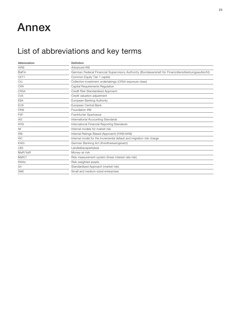### <span id="page-24-0"></span>Annex

### List of abbreviations and key terms

| Abbreviation      | Definition                                                                                       |  |  |  |
|-------------------|--------------------------------------------------------------------------------------------------|--|--|--|
| <b>AIRB</b>       | Advanced IRB                                                                                     |  |  |  |
| <b>BaFin</b>      | German Federal Financial Supervisory Authority (Bundesanstalt für Finanzdienstleistungsaufsicht) |  |  |  |
| CET1              | Common Equity Tier 1 capital                                                                     |  |  |  |
| CIU               | Collective investment undertakings (CRSA exposure class)                                         |  |  |  |
| <b>CRR</b>        | Capital Requirements Requlation                                                                  |  |  |  |
| <b>CRSA</b>       | Credit Risk Standardised Approach                                                                |  |  |  |
| <b>CVA</b>        | Credit valuation adjustment                                                                      |  |  |  |
| <b>EBA</b>        | European Banking Authority                                                                       |  |  |  |
| <b>ECB</b>        | European Central Bank                                                                            |  |  |  |
| <b>FIRB</b>       | Foundation IRB                                                                                   |  |  |  |
| <b>FSP</b>        | Frankfurter Sparkasse                                                                            |  |  |  |
| <b>IAS</b>        | International Accounting Standards                                                               |  |  |  |
| <b>IFRS</b>       | International Financial Reporting Standards                                                      |  |  |  |
| IM                | Internal models for market risk                                                                  |  |  |  |
| <b>IRB</b>        | Internal Ratings-Based (Approach) (FIRB/AIRB)                                                    |  |  |  |
| <b>IRC</b>        | Internal model for the incremental default and migration risk charge                             |  |  |  |
| <b>KWG</b>        | German Banking Act (Kreditwesengesetz)                                                           |  |  |  |
| <b>LBS</b>        | Landesbausparkasse                                                                               |  |  |  |
| MaR/VaR           | Money-at-risk                                                                                    |  |  |  |
| MARC <sup>2</sup> | Risk measurement system (linear interest rate risk)                                              |  |  |  |
| <b>RWAs</b>       | Risk-weighted assets                                                                             |  |  |  |
| SA                | Standardised Approach (market risk)                                                              |  |  |  |
| <b>SME</b>        | Small and medium-sized enterprises                                                               |  |  |  |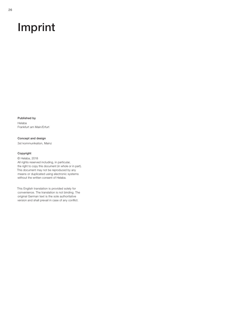## Imprint

Published by Helaba Frankfurt am Main/Erfurt

Concept and design 3st kommunikation, Mainz

#### Copyright

© Helaba, 2018 All rights reserved including, in particular, the right to copy this document (in whole or in part). This document may not be reproduced by any means or duplicated using electronic systems without the written consent of Helaba.

This English translation is provided solely for convenience. The translation is not binding. The original German text is the sole authoritative version and shall prevail in case of any conflict.